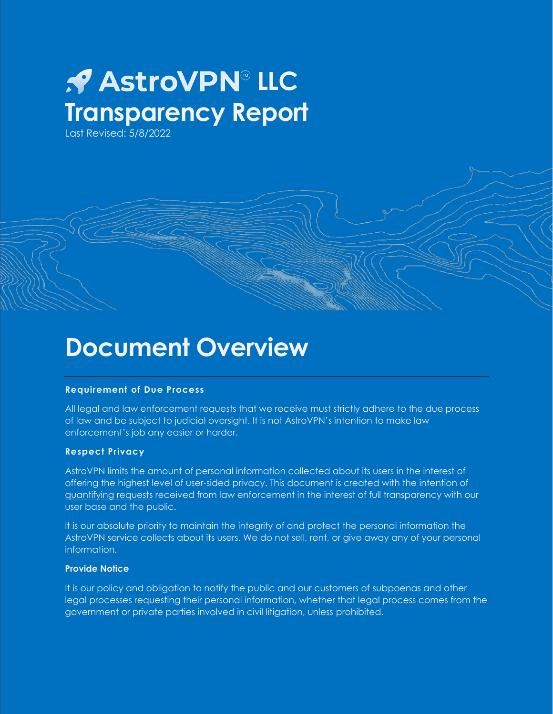### *AstroVPN*®LLC **Transparency Report**

Last Revised: 5/8/2022

### **Document Overview**

#### **Requirement of Due Process**

All legal and law enforcement requests that we receive must strictly adhere to the due process of law and be subject to judicial oversight. It is not AstroVPN's intention to make law enforcement's job any easier or harder.

#### **Respect Privacy**

AstroVPN limits the amount of personal information collected about its users in the interest of offering the highest level of user-sided privacy. This document is created with the intention of quantifying requests received from law enforcement in the interest of full transparency with our user base and the public.

It is our absolute priority to maintain the integrity of and protect the personal information the AstroVPN service collects about its users. We do not sell, rent, or give away any of your personal information.

#### **Provide Notice**

It is our policy and obligation to notify the public and our customers of subpoenas and other legal processes requesting their personal information, whether that legal process comes from the government or private parties involved in civil litigation, unless prohibited.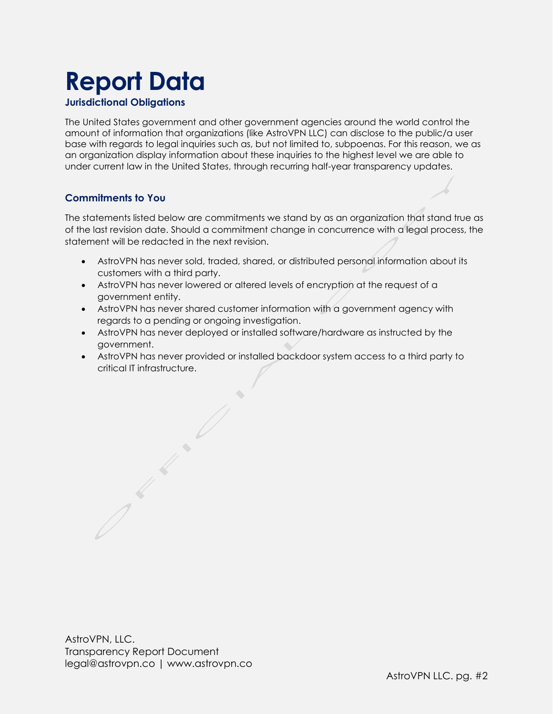### **Report Data**

#### **Jurisdictional Obligations**

The United States government and other government agencies around the world control the amount of information that organizations (like AstroVPN LLC) can disclose to the public/a user base with regards to legal inquiries such as, but not limited to, subpoenas. For this reason, we as an organization display information about these inquiries to the highest level we are able to under current law in the United States, through recurring half-year transparency updates.

#### **Commitments to You**

The statements listed below are commitments we stand by as an organization that stand true as of the last revision date. Should a commitment change in concurrence with a legal process, the statement will be redacted in the next revision.

- AstroVPN has never sold, traded, shared, or distributed personal information about its customers with a third party.
- AstroVPN has never lowered or altered levels of encryption at the request of a government entity.
- AstroVPN has never shared customer information with a government agency with regards to a pending or ongoing investigation.
- AstroVPN has never deployed or installed software/hardware as instructed by the government.
- AstroVPN has never provided or installed backdoor system access to a third party to critical IT infrastructure.

AstroVPN, LLC. Transparency Report Document legal@astrovpn.co | www.astrovpn.co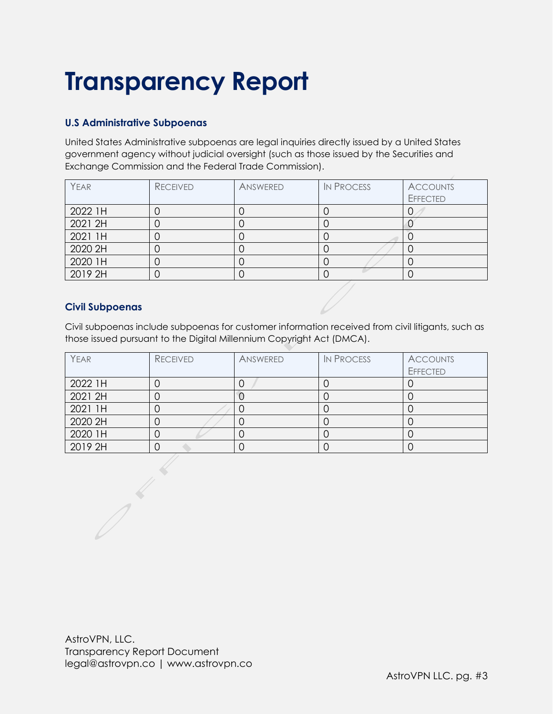#### **U.S Administrative Subpoenas**

United States Administrative subpoenas are legal inquiries directly issued by a United States government agency without judicial oversight (such as those issued by the Securities and Exchange Commission and the Federal Trade Commission).

| YEAR    | <b>RECEIVED</b> | ANSWERED | <b>IN PROCESS</b> | <b>ACCOUNTS</b> |
|---------|-----------------|----------|-------------------|-----------------|
|         |                 |          |                   | <b>EFFECTED</b> |
| 2022 1H |                 |          |                   |                 |
| 2021 2H |                 |          |                   |                 |
| 2021 1H |                 |          |                   |                 |
| 2020 2H |                 |          |                   |                 |
| 2020 1H |                 |          |                   |                 |
| 2019 2H |                 |          |                   |                 |

#### **Civil Subpoenas**

Civil subpoenas include subpoenas for customer information received from civil litigants, such as those issued pursuant to the Digital Millennium Copyright Act (DMCA).

| YEAR    | <b>RECEIVED</b> | ANSWERED | <b>IN PROCESS</b> | <b>ACCOUNTS</b> |
|---------|-----------------|----------|-------------------|-----------------|
|         |                 |          |                   | <b>EFFECTED</b> |
| 2022 1H |                 |          |                   |                 |
| 2021 2H |                 |          |                   |                 |
| 2021 1H |                 |          |                   |                 |
| 2020 2H |                 |          |                   |                 |
| 2020 1H |                 |          |                   |                 |
| 2019 2H |                 |          |                   |                 |

AstroVPN, LLC. Transparency Report Document legal@astrovpn.co | www.astrovpn.co

 $\frac{1}{2}$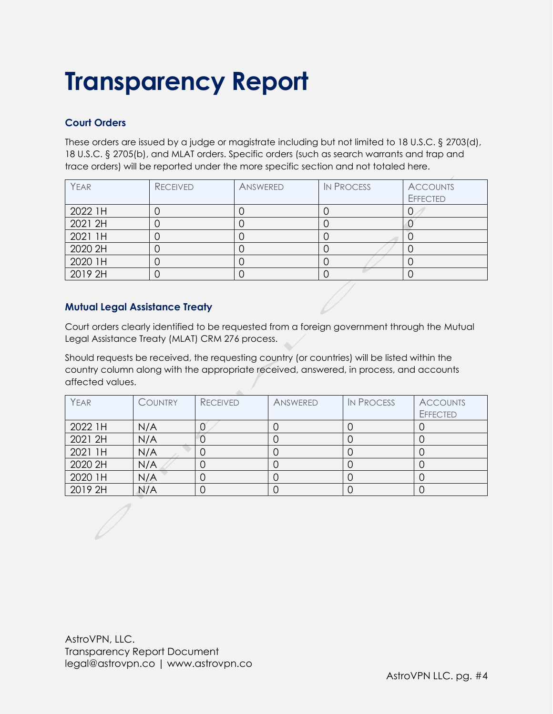#### **Court Orders**

These orders are issued by a judge or magistrate including but not limited to 18 U.S.C. § 2703(d), 18 U.S.C. § 2705(b), and MLAT orders. Specific orders (such as search warrants and trap and trace orders) will be reported under the more specific section and not totaled here.

| YEAR    | <b>RECEIVED</b> | ANSWERED | <b>IN PROCESS</b> | <b>ACCOUNTS</b> |
|---------|-----------------|----------|-------------------|-----------------|
|         |                 |          |                   | <b>EFFECTED</b> |
| 2022 1H |                 |          |                   |                 |
| 2021 2H |                 |          |                   |                 |
| 2021 1H |                 |          |                   |                 |
| 2020 2H |                 |          |                   |                 |
| 2020 1H |                 |          |                   |                 |
| 2019 2H |                 |          |                   |                 |

#### **Mutual Legal Assistance Treaty**

Court orders clearly identified to be requested from a foreign government through the Mutual Legal Assistance Treaty (MLAT) CRM 276 process.

Should requests be received, the requesting country (or countries) will be listed within the country column along with the appropriate received, answered, in process, and accounts affected values.

| YEAR    | <b>COUNTRY</b> | <b>RECEIVED</b> | ANSWERED | <b>IN PROCESS</b> | <b>ACCOUNTS</b><br><b>EFFECTED</b> |
|---------|----------------|-----------------|----------|-------------------|------------------------------------|
| 2022 1H | N/A            |                 |          |                   |                                    |
| 2021 2H | N/A            |                 |          |                   |                                    |
| 2021 1H | N/A            |                 |          |                   |                                    |
| 2020 2H | N/A            |                 |          |                   |                                    |
| 2020 1H | N/A            |                 |          |                   |                                    |
| 2019 2H | N/A            |                 |          |                   |                                    |

AstroVPN, LLC. Transparency Report Document legal@astrovpn.co | www.astrovpn.co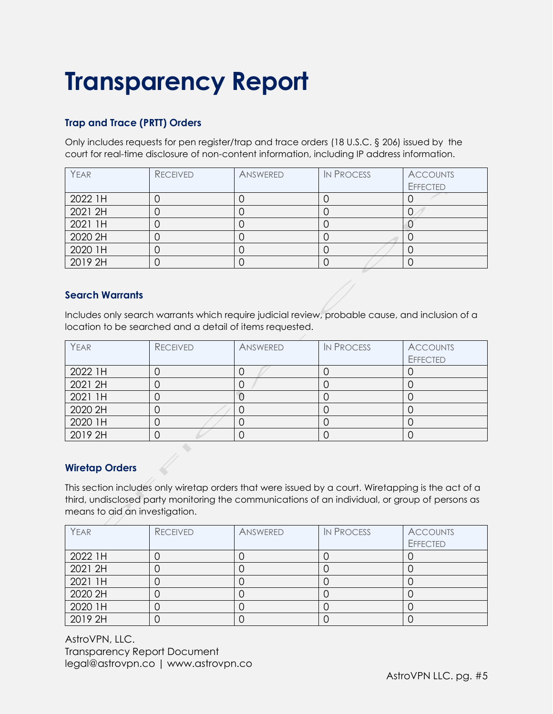### **Trap and Trace (PRTT) Orders**

Only includes requests for pen register/trap and trace orders (18 U.S.C. § 206) issued by the court for real-time disclosure of non-content information, including IP address information.

| YEAR    | <b>RECEIVED</b> | ANSWERED | <b>IN PROCESS</b> | <b>ACCOUNTS</b> |
|---------|-----------------|----------|-------------------|-----------------|
|         |                 |          |                   | <b>EFFECTED</b> |
| 2022 1H |                 |          |                   |                 |
| 2021 2H |                 |          |                   |                 |
| 2021 1H |                 |          |                   |                 |
| 2020 2H |                 |          |                   |                 |
| 2020 1H |                 |          |                   |                 |
| 2019 2H |                 |          |                   |                 |

#### **Search Warrants**

Includes only search warrants which require judicial review, probable cause, and inclusion of a location to be searched and a detail of items requested.

| YEAR    | <b>RECEIVED</b> | ANSWERED | <b>IN PROCESS</b> | <b>ACCOUNTS</b><br><b>EFFECTED</b> |
|---------|-----------------|----------|-------------------|------------------------------------|
| 2022 1H |                 |          |                   |                                    |
| 2021 2H |                 |          |                   |                                    |
| 2021 1H |                 |          |                   |                                    |
| 2020 2H |                 |          |                   |                                    |
| 2020 1H |                 |          |                   |                                    |
| 2019 2H |                 |          |                   |                                    |

#### **Wiretap Orders**

This section includes only wiretap orders that were issued by a court. Wiretapping is the act of a third, undisclosed party monitoring the communications of an individual, or group of persons as means to aid an investigation.

| YEAR    | <b>RECEIVED</b> | ANSWERED | <b>IN PROCESS</b> | <b>ACCOUNTS</b> |
|---------|-----------------|----------|-------------------|-----------------|
|         |                 |          |                   | <b>EFFECTED</b> |
| 2022 1H |                 |          |                   |                 |
| 2021 2H |                 |          |                   |                 |
| 2021 1H |                 |          |                   |                 |
| 2020 2H |                 |          |                   |                 |
| 2020 1H |                 |          |                   |                 |
| 2019 2H |                 |          |                   |                 |

AstroVPN, LLC. Transparency Report Document legal@astrovpn.co | www.astrovpn.co